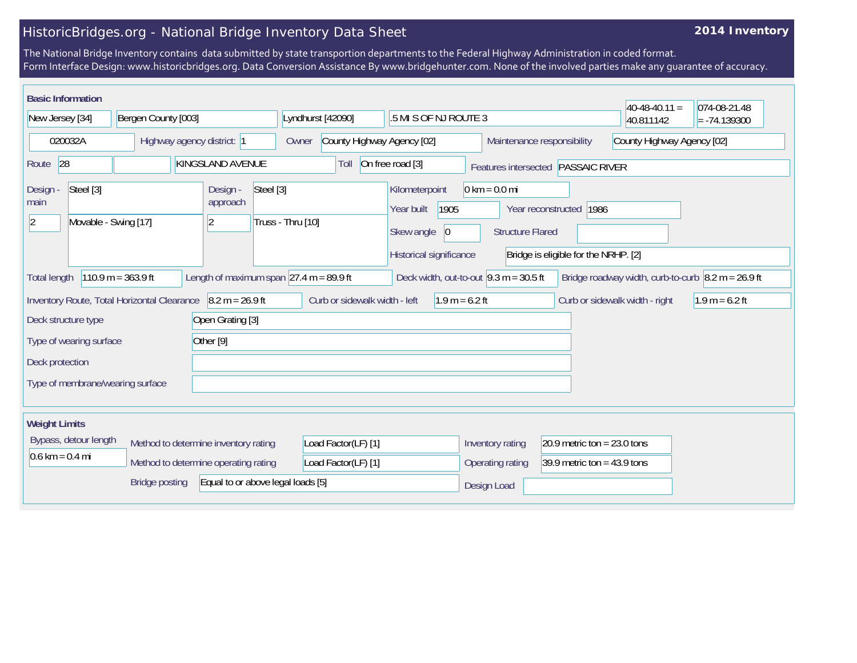## HistoricBridges.org - National Bridge Inventory Data Sheet

## **2014 Inventory**

The National Bridge Inventory contains data submitted by state transportion departments to the Federal Highway Administration in coded format. Form Interface Design: www.historicbridges.org. Data Conversion Assistance By www.bridgehunter.com. None of the involved parties make any guarantee of accuracy.

| <b>Basic Information</b>               |                                             |                                   |                                                             |                                                          |                                                            |                                      | $40-48-40.11 =$                                                            | 074-08-21.48     |  |  |
|----------------------------------------|---------------------------------------------|-----------------------------------|-------------------------------------------------------------|----------------------------------------------------------|------------------------------------------------------------|--------------------------------------|----------------------------------------------------------------------------|------------------|--|--|
| Bergen County [003]<br>New Jersey [34] |                                             |                                   | Lyndhurst [42090]                                           | .5 MI S OF NJ ROUTE 3                                    |                                                            |                                      | 40.811142                                                                  | $= -74.139300$   |  |  |
| 020032A                                | Highway agency district: 1                  |                                   | County Highway Agency [02]<br>Owner                         |                                                          | Maintenance responsibility                                 |                                      | County Highway Agency [02]                                                 |                  |  |  |
| 28<br>Route                            |                                             | KINGSLAND AVENUE                  | Toll                                                        | On free road [3]                                         | Features intersected PASSAIC RIVER                         |                                      |                                                                            |                  |  |  |
| Steel [3]<br>Design -<br>main          |                                             | Steel [3]<br>Design -<br>approach |                                                             | Kilometerpoint<br>1905<br>Year built                     | $0 \text{ km} = 0.0 \text{ mi}$<br>Year reconstructed 1986 |                                      |                                                                            |                  |  |  |
| Movable - Swing [17]<br>$ 2\rangle$    |                                             | $\overline{2}$                    | Truss - Thru [10]                                           | Skew angle<br>$ 0\rangle$                                | <b>Structure Flared</b>                                    |                                      |                                                                            |                  |  |  |
|                                        |                                             |                                   |                                                             | Historical significance                                  |                                                            | Bridge is eligible for the NRHP. [2] |                                                                            |                  |  |  |
| <b>Total length</b>                    | $110.9 m = 363.9 ft$                        |                                   | Length of maximum span $ 27.4 \text{ m} = 89.9 \text{ ft} $ | Deck width, out-to-out $9.3 \text{ m} = 30.5 \text{ ft}$ |                                                            |                                      | Bridge roadway width, curb-to-curb $\vert 8.2 \text{ m} = 26.9 \text{ ft}$ |                  |  |  |
|                                        | Inventory Route, Total Horizontal Clearance | $8.2 m = 26.9 ft$                 | Curb or sidewalk width - left                               | $1.9 m = 6.2 ft$                                         |                                                            |                                      | Curb or sidewalk width - right                                             | $1.9 m = 6.2 ft$ |  |  |
| Deck structure type                    |                                             | Open Grating [3]                  |                                                             |                                                          |                                                            |                                      |                                                                            |                  |  |  |
| Type of wearing surface                |                                             | Other <sup>[9]</sup>              |                                                             |                                                          |                                                            |                                      |                                                                            |                  |  |  |
| Deck protection                        |                                             |                                   |                                                             |                                                          |                                                            |                                      |                                                                            |                  |  |  |
| Type of membrane/wearing surface       |                                             |                                   |                                                             |                                                          |                                                            |                                      |                                                                            |                  |  |  |
|                                        |                                             |                                   |                                                             |                                                          |                                                            |                                      |                                                                            |                  |  |  |
| <b>Weight Limits</b>                   |                                             |                                   |                                                             |                                                          |                                                            |                                      |                                                                            |                  |  |  |
| Bypass, detour length                  | Method to determine inventory rating        |                                   | Load Factor(LF) [1]                                         |                                                          | Inventory rating                                           | 20.9 metric ton = $23.0$ tons        |                                                                            |                  |  |  |
| $0.6 \text{ km} = 0.4 \text{ mi}$      | Method to determine operating rating        |                                   | Load Factor(LF) [1]                                         |                                                          | Operating rating                                           | 39.9 metric ton = $43.9$ tons        |                                                                            |                  |  |  |
|                                        | <b>Bridge posting</b>                       | Equal to or above legal loads [5] |                                                             |                                                          | Design Load                                                |                                      |                                                                            |                  |  |  |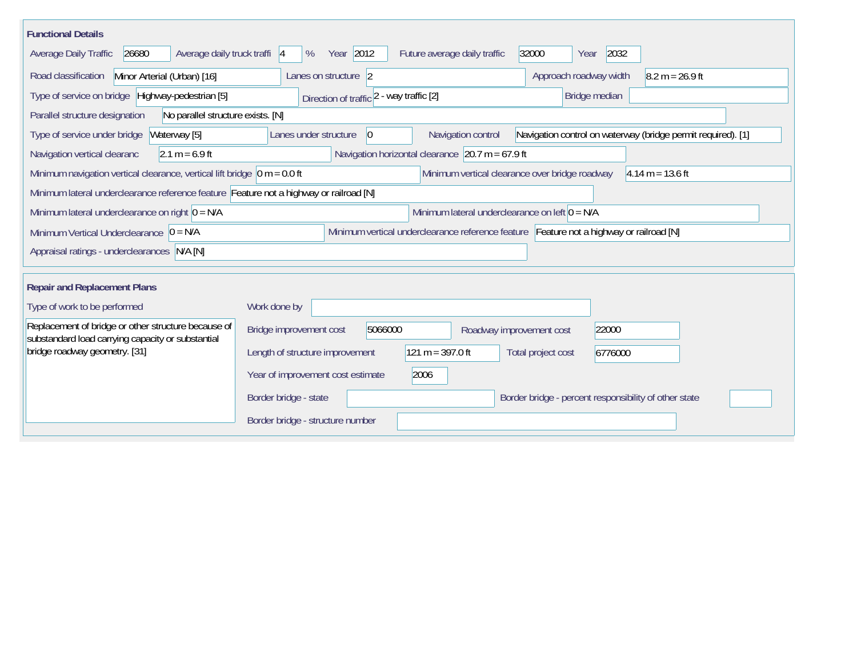| <b>Functional Details</b>                                                                                |                                   |                                          |                                                                                         |                          |                                                       |               |                                                              |  |
|----------------------------------------------------------------------------------------------------------|-----------------------------------|------------------------------------------|-----------------------------------------------------------------------------------------|--------------------------|-------------------------------------------------------|---------------|--------------------------------------------------------------|--|
| 26680<br>Average daily truck traffi  4<br>Average Daily Traffic                                          | %                                 | Year 2012                                | Future average daily traffic                                                            |                          | 32000<br>Year                                         | 2032          |                                                              |  |
| Road classification<br>Minor Arterial (Urban) [16]                                                       | Lanes on structure 2              |                                          |                                                                                         |                          | $8.2 m = 26.9 ft$<br>Approach roadway width           |               |                                                              |  |
| Type of service on bridge Highway-pedestrian [5]                                                         |                                   | Direction of traffic 2 - way traffic [2] |                                                                                         |                          |                                                       | Bridge median |                                                              |  |
| Parallel structure designation<br>No parallel structure exists. [N]                                      |                                   |                                          |                                                                                         |                          |                                                       |               |                                                              |  |
| Type of service under bridge<br>Waterway [5]                                                             | Lanes under structure             | $ 0\rangle$                              | Navigation control                                                                      |                          |                                                       |               | Navigation control on waterway (bridge permit required). [1] |  |
| $2.1 m = 6.9 ft$<br>Navigation vertical clearanc                                                         |                                   |                                          | Navigation horizontal clearance $\left  20.7 \text{ m} \right  = 67.9 \text{ ft}$       |                          |                                                       |               |                                                              |  |
| Minimum navigation vertical clearance, vertical lift bridge $\vert$ 0 m = 0.0 ft                         |                                   |                                          |                                                                                         |                          | Minimum vertical clearance over bridge roadway        |               | $4.14 m = 13.6 ft$                                           |  |
| Minimum lateral underclearance reference feature Feature not a highway or railroad [N]                   |                                   |                                          |                                                                                         |                          |                                                       |               |                                                              |  |
| Minimum lateral underclearance on left $0 = N/A$<br>Minimum lateral underclearance on right $0 = N/A$    |                                   |                                          |                                                                                         |                          |                                                       |               |                                                              |  |
| Minimum Vertical Underclearance $ 0 = N/A$                                                               |                                   |                                          | Minimum vertical underclearance reference feature Feature not a highway or railroad [N] |                          |                                                       |               |                                                              |  |
| Appraisal ratings - underclearances N/A [N]                                                              |                                   |                                          |                                                                                         |                          |                                                       |               |                                                              |  |
|                                                                                                          |                                   |                                          |                                                                                         |                          |                                                       |               |                                                              |  |
| <b>Repair and Replacement Plans</b>                                                                      |                                   |                                          |                                                                                         |                          |                                                       |               |                                                              |  |
| Type of work to be performed                                                                             | Work done by                      |                                          |                                                                                         |                          |                                                       |               |                                                              |  |
| Replacement of bridge or other structure because of<br>substandard load carrying capacity or substantial | Bridge improvement cost           | 5066000                                  |                                                                                         | Roadway improvement cost |                                                       | 22000         |                                                              |  |
| bridge roadway geometry. [31]                                                                            | Length of structure improvement   |                                          | $121 m = 397.0 ft$                                                                      |                          | Total project cost                                    | 6776000       |                                                              |  |
|                                                                                                          | Year of improvement cost estimate |                                          | 2006                                                                                    |                          |                                                       |               |                                                              |  |
|                                                                                                          | Border bridge - state             |                                          |                                                                                         |                          | Border bridge - percent responsibility of other state |               |                                                              |  |
|                                                                                                          | Border bridge - structure number  |                                          |                                                                                         |                          |                                                       |               |                                                              |  |